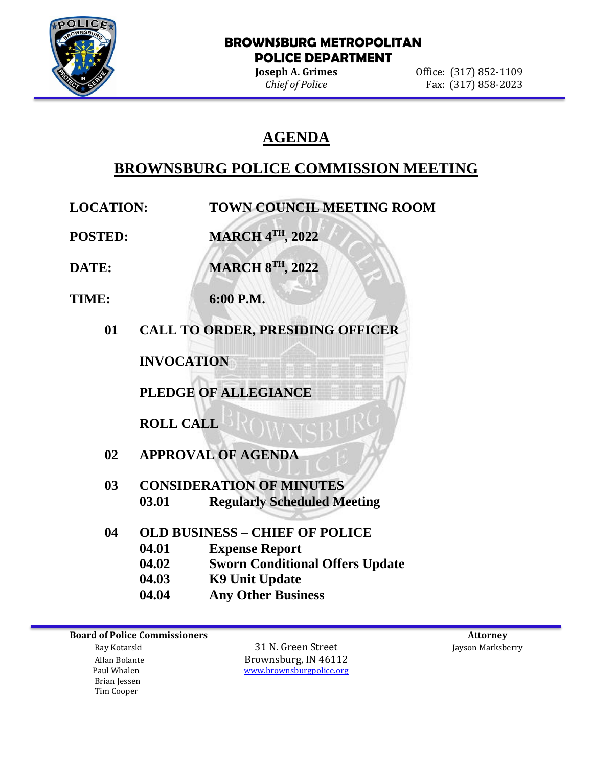

### **BROWNSBURG METROPOLITAN POLICE DEPARTMENT**

**Joseph A. Grimes Office:** (317) 852-1109 *Chief of Police* Fax: (317) 858-2023

# **AGENDA**

# **BROWNSBURG POLICE COMMISSION MEETING**

l

**LOCATION: TOWN COUNCIL MEETING ROOM**

**POSTED: MARCH 4TH, 2022**

**DATE: MARCH 8 TH, 2022**

- **TIME: 6:00 P.M.**
	- **01 CALL TO ORDER, PRESIDING OFFICER**

**INVOCATION**

**PLEDGE OF ALLEGIANCE**

**ROLL CALL**

- **02 APPROVAL OF AGENDA**
- **03 CONSIDERATION OF MINUTES 03.01 Regularly Scheduled Meeting**
- **04 OLD BUSINESS – CHIEF OF POLICE 04.01 Expense Report 04.02 Sworn Conditional Offers Update 04.03 K9 Unit Update**
	- **04.04 Any Other Business**

**Board of Police Commissioners Attorney Attorney Attorney Attorney Attorney Attorney Attorney Attorney Attorney** 

 Brian Jessen Tim Cooper

 Ray Kotarski 31 N. Green Street Jayson Marksberry Allan Bolante **Brownsburg, IN 46112**<br>Paul Whalen **Brownsburg With The Wave Account** Brownsburg police.org [www.brownsburgpolice.org](http://www.brownsburgpolice.org/)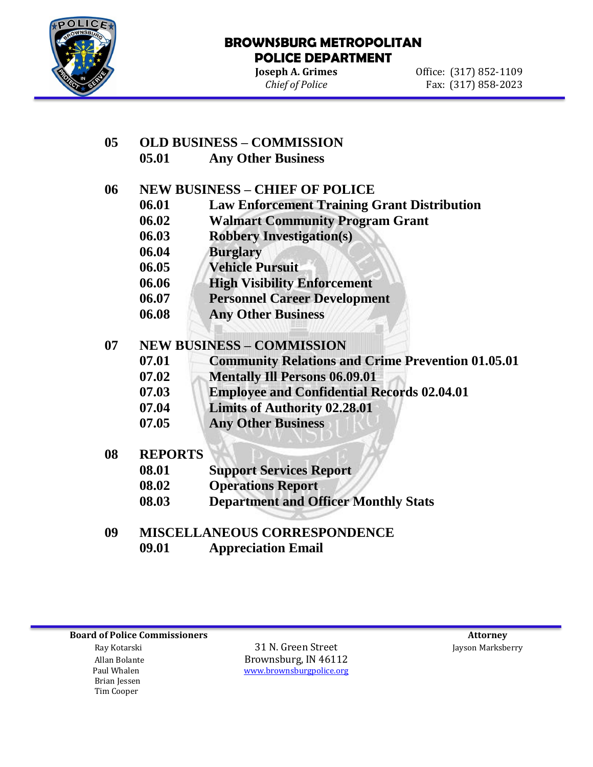

l

### **BROWNSBURG METROPOLITAN POLICE DEPARTMENT**

**Joseph A. Grimes Office:** (317) 852-1109 *Chief of Police* Fax: (317) 858-2023

## **05 OLD BUSINESS – COMMISSION**

**05.01 Any Other Business** 

## **06 NEW BUSINESS – CHIEF OF POLICE**

- **06.01 Law Enforcement Training Grant Distribution**
- **06.02 Walmart Community Program Grant**
- **06.03 Robbery Investigation(s)**
- **06.04 Burglary**
- **06.05 Vehicle Pursuit**
- **06.06 High Visibility Enforcement**
- **06.07 Personnel Career Development**
- **06.08 Any Other Business**

### **07 NEW BUSINESS – COMMISSION**

- **07.01 Community Relations and Crime Prevention 01.05.01**
- **07.02 Mentally Ill Persons 06.09.01**
- **07.03 Employee and Confidential Records 02.04.01**
- **07.04 Limits of Authority 02.28.01**
- **07.05 Any Other Business**
- **08 REPORTS**
	- **08.01 Support Services Report**
	- **08.02 Operations Report**
	- **08.03 Department and Officer Monthly Stats**
- **09 MISCELLANEOUS CORRESPONDENCE 09.01 Appreciation Email**

**Board of Police Commissioners** and the set of the set of the set of the set of the set of the set of the set of the set of the set of the set of the set of the set of the set of the set of the set of the set of the set of

 Brian Jessen Tim Cooper

 Ray Kotarski 31 N. Green Street Jayson Marksberry Allan Bolante **Brownsburg, IN 46112**<br>Paul Whalen **Brownsburg With The Wave Account** Brownsburg police.org [www.brownsburgpolice.org](http://www.brownsburgpolice.org/)